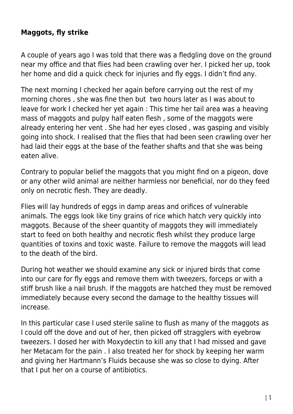## **Maggots, fly strike**

A couple of years ago I was told that there was a fledgling dove on the ground near my office and that flies had been crawling over her. I picked her up, took her home and did a quick check for injuries and fly eggs. I didn't find any.

The next morning I checked her again before carrying out the rest of my morning chores , she was fine then but two hours later as I was about to leave for work I checked her yet again : This time her tail area was a heaving mass of maggots and pulpy half eaten flesh , some of the maggots were already entering her vent . She had her eyes closed , was gasping and visibly going into shock. I realised that the flies that had been seen crawling over her had laid their eggs at the base of the feather shafts and that she was being eaten alive.

Contrary to popular belief the maggots that you might find on a pigeon, dove or any other wild animal are neither harmless nor beneficial, nor do they feed only on necrotic flesh. They are deadly.

Flies will lay hundreds of eggs in damp areas and orifices of vulnerable animals. The eggs look like tiny grains of rice which hatch very quickly into maggots. Because of the sheer quantity of maggots they will immediately start to feed on both healthy and necrotic flesh whilst they produce large quantities of toxins and toxic waste. Failure to remove the maggots will lead to the death of the bird.

During hot weather we should examine any sick or injured birds that come into our care for fly eggs and remove them with tweezers, forceps or with a stiff brush like a nail brush. If the maggots are hatched they must be removed immediately because every second the damage to the healthy tissues will increase.

In this particular case I used sterile saline to flush as many of the maggots as I could off the dove and out of her, then picked off stragglers with eyebrow tweezers. I dosed her with Moxydectin to kill any that I had missed and gave her Metacam for the pain . I also treated her for shock by keeping her warm and giving her Hartmann's Fluids because she was so close to dying. After that I put her on a course of antibiotics.